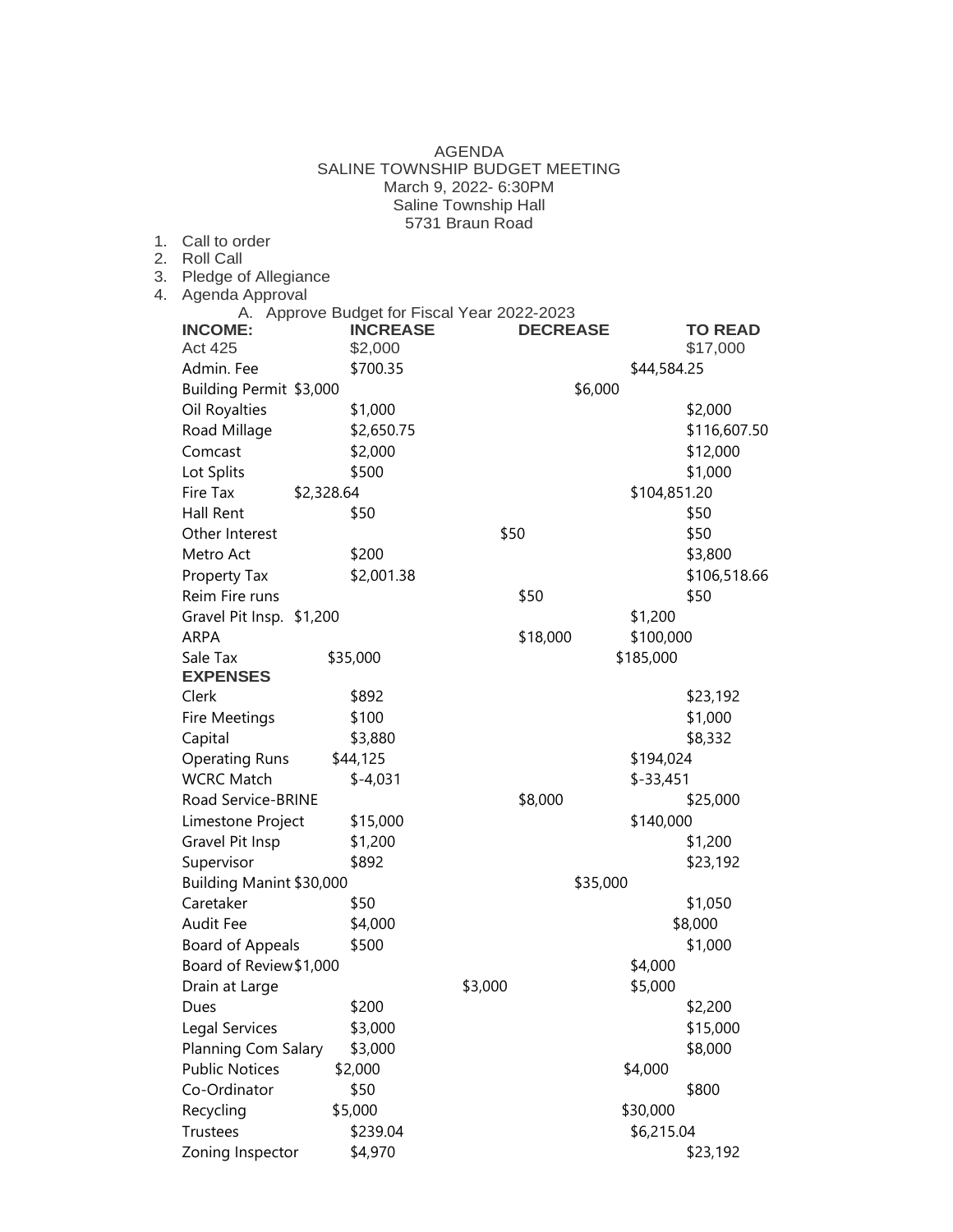|                                                | March 9, 2022- 6:30PM |                 |                 |              |                |
|------------------------------------------------|-----------------------|-----------------|-----------------|--------------|----------------|
| Saline Township Hall                           |                       |                 |                 |              |                |
| Call to order                                  |                       | 5731 Braun Road |                 |              |                |
| <b>Roll Call</b>                               |                       |                 |                 |              |                |
| Pledge of Allegiance<br>Agenda Approval        |                       |                 |                 |              |                |
| Approve Budget for Fiscal Year 2022-2023<br>А. |                       |                 |                 |              |                |
| <b>INCOME:</b>                                 | <b>INCREASE</b>       |                 | <b>DECREASE</b> |              | <b>TO READ</b> |
| <b>Act 425</b>                                 | \$2,000               |                 |                 |              | \$17,000       |
| Admin. Fee                                     | \$700.35              |                 |                 | \$44,584.25  |                |
| Building Permit \$3,000                        |                       |                 | \$6,000         |              |                |
| Oil Royalties                                  | \$1,000               |                 |                 |              | \$2,000        |
| Road Millage                                   | \$2,650.75            |                 |                 |              | \$116,607.50   |
| Comcast                                        | \$2,000               |                 |                 |              | \$12,000       |
| Lot Splits                                     | \$500                 |                 |                 |              | \$1,000        |
| Fire Tax<br>\$2,328.64                         |                       |                 |                 | \$104,851.20 |                |
| Hall Rent                                      | \$50                  |                 |                 |              | \$50           |
| Other Interest                                 |                       | \$50            |                 |              | \$50           |
| Metro Act                                      | \$200                 |                 |                 |              | \$3,800        |
| Property Tax                                   | \$2,001.38            |                 |                 |              | \$106,518.66   |
| Reim Fire runs                                 |                       |                 | \$50            |              | \$50           |
| Gravel Pit Insp. \$1,200                       |                       |                 |                 | \$1,200      |                |
| <b>ARPA</b>                                    |                       |                 | \$18,000        | \$100,000    |                |
| Sale Tax                                       | \$35,000              |                 |                 | \$185,000    |                |
| <b>EXPENSES</b><br>Clerk                       | \$892                 |                 |                 |              | \$23,192       |
| Fire Meetings                                  | \$100                 |                 |                 |              | \$1,000        |
| Capital                                        | \$3,880               |                 |                 |              | \$8,332        |
| <b>Operating Runs</b>                          | \$44,125              |                 |                 | \$194,024    |                |
| <b>WCRC Match</b>                              | $$-4,031$             |                 |                 | $$-33,451$   |                |
| Road Service-BRINE                             |                       |                 | \$8,000         |              | \$25,000       |
| Limestone Project                              | \$15,000              |                 |                 | \$140,000    |                |
| Gravel Pit Insp                                | \$1,200               |                 |                 |              | \$1,200        |
| Supervisor                                     | \$892                 |                 |                 |              | \$23,192       |
| Building Manint \$30,000                       |                       |                 | \$35,000        |              |                |
| Caretaker                                      | \$50                  |                 |                 |              | \$1,050        |
| Audit Fee                                      | \$4,000               |                 |                 |              | \$8,000        |
| Board of Appeals                               | \$500                 |                 |                 |              | \$1,000        |
| Board of Review \$1,000                        |                       |                 |                 | \$4,000      |                |
| Drain at Large                                 |                       | \$3,000         |                 | \$5,000      |                |
| Dues                                           | \$200                 |                 |                 |              | \$2,200        |
| Legal Services                                 | \$3,000               |                 |                 |              | \$15,000       |
| Planning Com Salary                            | \$3,000               |                 |                 |              | \$8,000        |
| <b>Public Notices</b>                          | \$2,000               |                 |                 | \$4,000      |                |
| Co-Ordinator                                   | \$50                  |                 |                 |              | \$800          |
| Recycling                                      | \$5,000               |                 |                 | \$30,000     |                |
| Trustees                                       | \$239.04              |                 |                 | \$6,215.04   |                |
| Zoning Inspector                               | \$4,970               |                 |                 |              | \$23,192       |

AGENDA SALINE TOWNSHIP BUDGET MEETING

 $1.$  $2.$  $3.$  $4.$